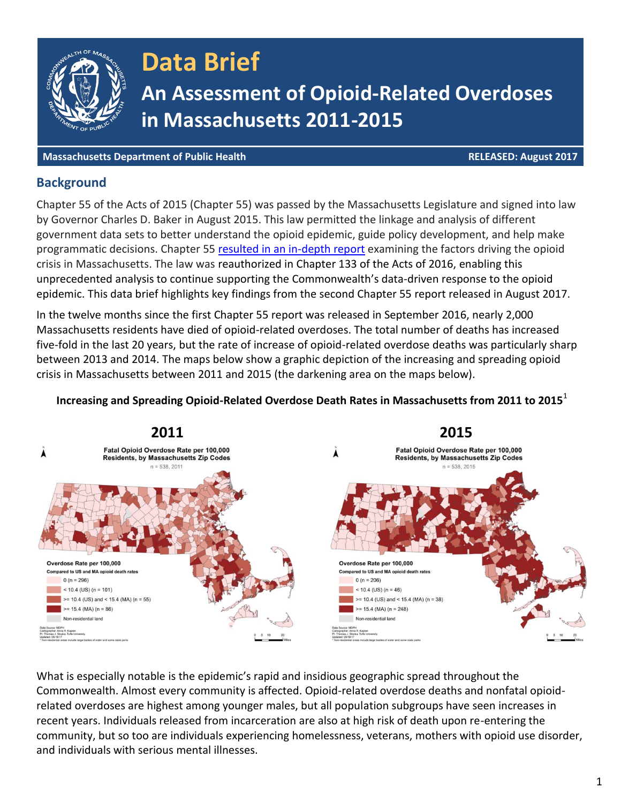

**Massachusetts Department of Public Health RELEASED: August 2017**

#### **Background**

Chapter 55 of the Acts of 2015 (Chapter 55) was passed by the Massachusetts Legislature and signed into law by Governor Charles D. Baker in August 2015. This law permitted the linkage and analysis of different government data sets to better understand the opioid epidemic, guide policy development, and help make programmatic decisions. Chapter 55 [resulted in an in-depth report](http://www.mass.gov/eohhs/gov/newsroom/press-releases/eohhs/admin-releases-unprecedented-report-on-opioid-epidemic.html) examining the factors driving the opioid crisis in Massachusetts. The law was reauthorized in Chapter 133 of the Acts of 2016, enabling this unprecedented analysis to continue supporting the Commonwealth's data-driven response to the opioid epidemic. This data brief highlights key findings from the second Chapter 55 report released in August 2017.

In the twelve months since the first Chapter 55 report was released in September 2016, nearly 2,000 Massachusetts residents have died of opioid-related overdoses. The total number of deaths has increased five-fold in the last 20 years, but the rate of increase of opioid-related overdose deaths was particularly sharp between 2013 and 2014. The maps below show a graphic depiction of the increasing and spreading opioid crisis in Massachusetts between 2011 and 2015 (the darkening area on the maps below).

#### **Increasing and Spreading Opioid-Related Overdose Death Rates in Massachusetts from 2011 to 2015**<sup>1</sup>



What is especially notable is the epidemic's rapid and insidious geographic spread throughout the Commonwealth. Almost every community is affected. Opioid-related overdose deaths and nonfatal opioidrelated overdoses are highest among younger males, but all population subgroups have seen increases in recent years. Individuals released from incarceration are also at high risk of death upon re-entering the community, but so too are individuals experiencing homelessness, veterans, mothers with opioid use disorder, and individuals with serious mental illnesses.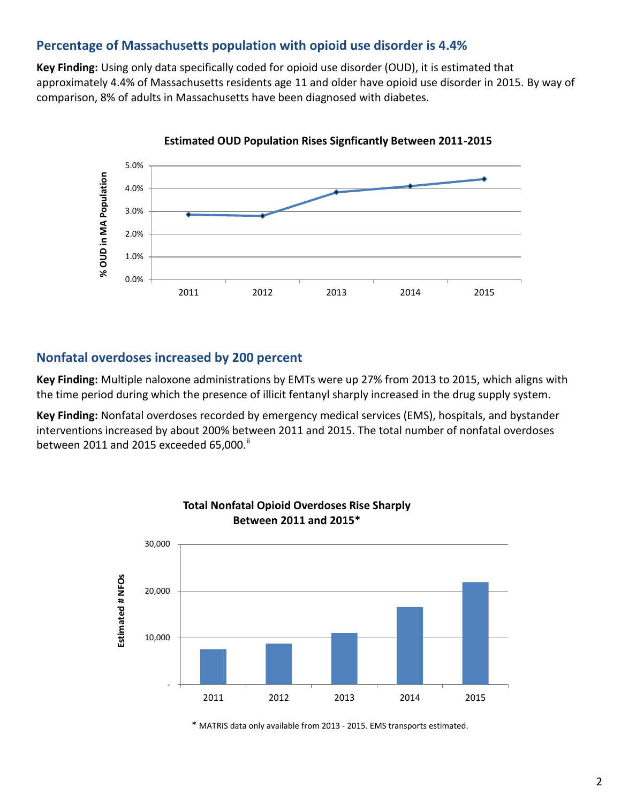## **Percentage of Massachusetts population with opioid use disorder is 4.4%**

**Key Finding:** Using only data specifically coded for opioid use disorder (OUD), it is estimated that approximately 4.4% of Massachusetts residents age 11 and older have opioid use disorder in 2015. By way of comparison, 8% of adults in Massachusetts have been diagnosed with diabetes.



**Estimated OUD Population Rises Signficantly Between 2011-2015**

### **Nonfatal overdoses increased by 200 percent**

**Key Finding:** Multiple naloxone administrations by EMTs were up 27% from 2013 to 2015, which aligns with the time period during which the presence of illicit fentanyl sharply increased in the drug supply system.

**Key Finding:** Nonfatal overdoses recorded by emergency medical services (EMS), hospitals, and bystander interventions increased by about 200% between 2011 and 2015. The total number of nonfatal overdoses between 2011 and 2015 exceeded 65,000.<sup>[ii](#page-4-0)</sup>



## **Total Nonfatal Opioid Overdoses Rise Sharply Between 2011 and 2015\***

\* MATRIS data only available from 2013 - 2015. EMS transports estimated.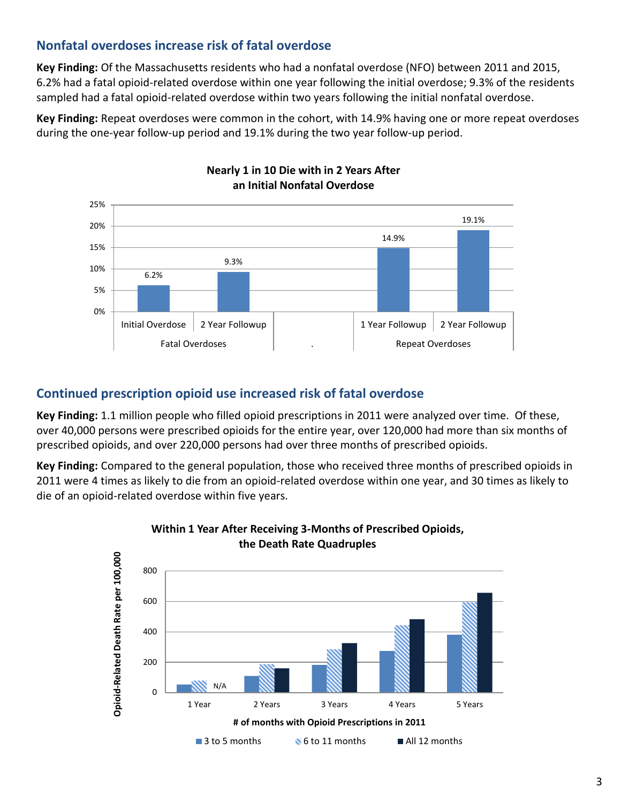## **Nonfatal overdoses increase risk of fatal overdose**

**Key Finding:** Of the Massachusetts residents who had a nonfatal overdose (NFO) between 2011 and 2015, 6.2% had a fatal opioid-related overdose within one year following the initial overdose; 9.3% of the residents sampled had a fatal opioid-related overdose within two years following the initial nonfatal overdose.

**Key Finding:** Repeat overdoses were common in the cohort, with 14.9% having one or more repeat overdoses during the one-year follow-up period and 19.1% during the two year follow-up period.



# **Nearly 1 in 10 Die with in 2 Years After**

## **Continued prescription opioid use increased risk of fatal overdose**

**Key Finding:** 1.1 million people who filled opioid prescriptions in 2011 were analyzed over time. Of these, over 40,000 persons were prescribed opioids for the entire year, over 120,000 had more than six months of prescribed opioids, and over 220,000 persons had over three months of prescribed opioids.

**Key Finding:** Compared to the general population, those who received three months of prescribed opioids in 2011 were 4 times as likely to die from an opioid-related overdose within one year, and 30 times as likely to die of an opioid-related overdose within five years.



#### **Within 1 Year After Receiving 3-Months of Prescribed Opioids, the Death Rate Quadruples**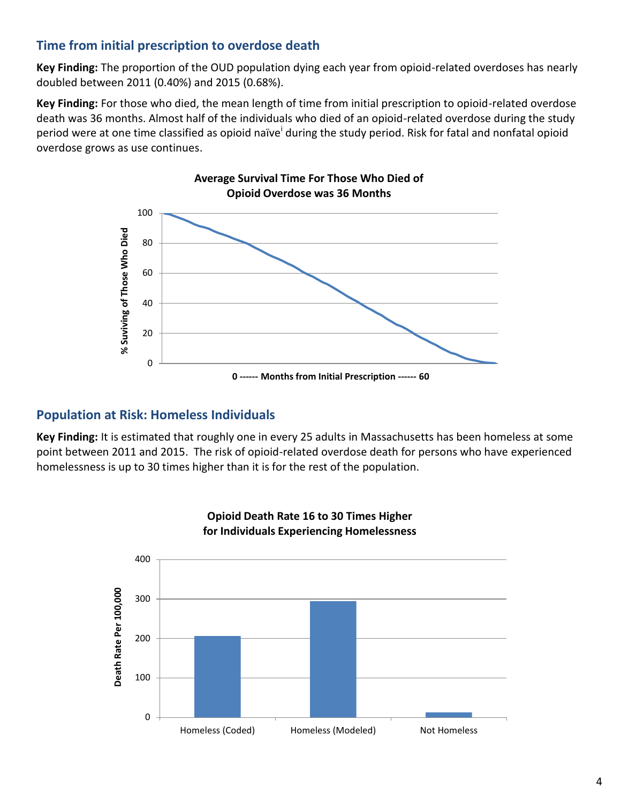## **Time from initial prescription to overdose death**

**Key Finding:** The proportion of the OUD population dying each year from opioid-related overdoses has nearly doubled between 2011 (0.40%) and 2015 (0.68%).

**Key Finding:** For those who died, the mean length of time from initial prescription to opioid-related overdose death was 36 months. Almost half of the individuals who died of an opioid-related overdose during the study p[e](#page-3-0)riod were at one time classified as opioid naïve<sup>i</sup> during the study period. Risk for fatal and nonfatal opioid overdose grows as use continues.



### **Population at Risk: Homeless Individuals**

**Key Finding:** It is estimated that roughly one in every 25 adults in Massachusetts has been homeless at some point between 2011 and 2015. The risk of opioid-related overdose death for persons who have experienced homelessness is up to 30 times higher than it is for the rest of the population.

<span id="page-3-0"></span>

#### **Opioid Death Rate 16 to 30 Times Higher for Individuals Experiencing Homelessness**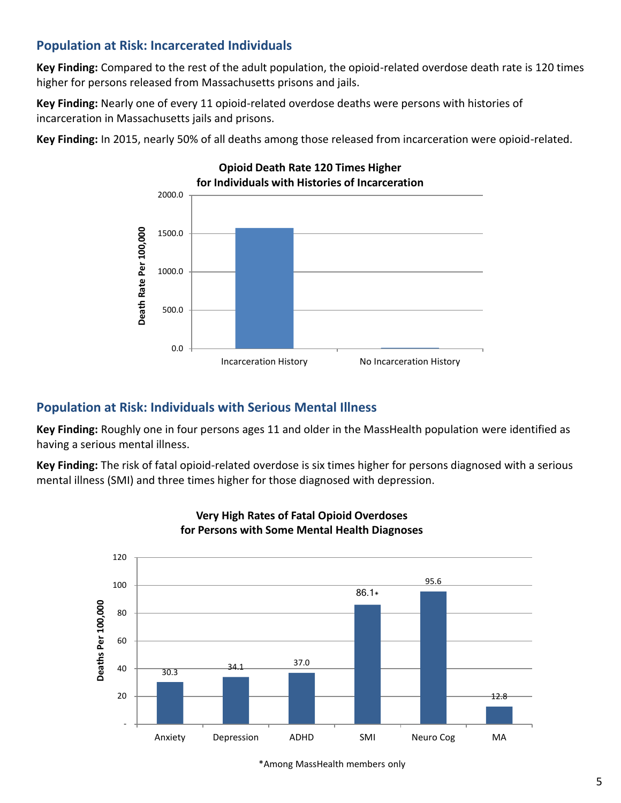## <span id="page-4-0"></span>**Population at Risk: Incarcerated Individuals**

**Key Finding:** Compared to the rest of the adult population, the opioid-related overdose death rate is 120 times higher for persons released from Massachusetts prisons and jails.

**Key Finding:** Nearly one of every 11 opioid-related overdose deaths were persons with histories of incarceration in Massachusetts jails and prisons.

**Key Finding:** In 2015, nearly 50% of all deaths among those released from incarceration were opioid-related.



## **Population at Risk: Individuals with Serious Mental Illness**

**Key Finding:** Roughly one in four persons ages 11 and older in the MassHealth population were identified as having a serious mental illness.

**Key Finding:** The risk of fatal opioid-related overdose is six times higher for persons diagnosed with a serious mental illness (SMI) and three times higher for those diagnosed with depression.



#### **Very High Rates of Fatal Opioid Overdoses for Persons with Some Mental Health Diagnoses**

\*Among MassHealth members only